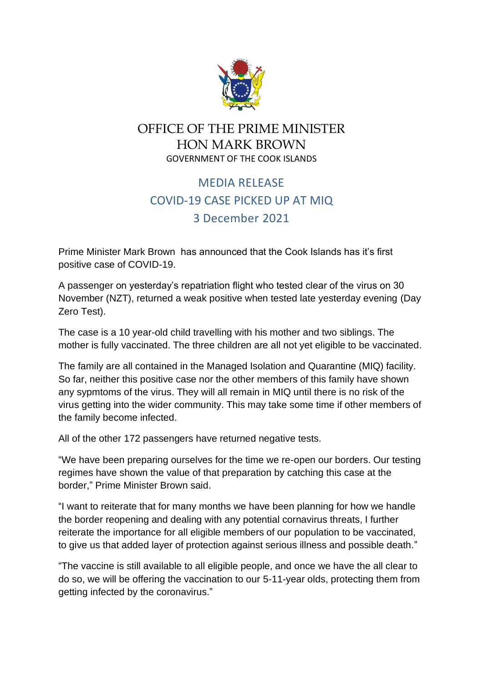

## OFFICE OF THE PRIME MINISTER HON MARK BROWN GOVERNMENT OF THE COOK ISLANDS

## MEDIA RELEASE COVID-19 CASE PICKED UP AT MIQ 3 December 2021

Prime Minister Mark Brown has announced that the Cook Islands has it's first positive case of COVID-19.

A passenger on yesterday's repatriation flight who tested clear of the virus on 30 November (NZT), returned a weak positive when tested late yesterday evening (Day Zero Test).

The case is a 10 year-old child travelling with his mother and two siblings. The mother is fully vaccinated. The three children are all not yet eligible to be vaccinated.

The family are all contained in the Managed Isolation and Quarantine (MIQ) facility. So far, neither this positive case nor the other members of this family have shown any sypmtoms of the virus. They will all remain in MIQ until there is no risk of the virus getting into the wider community. This may take some time if other members of the family become infected.

All of the other 172 passengers have returned negative tests.

"We have been preparing ourselves for the time we re-open our borders. Our testing regimes have shown the value of that preparation by catching this case at the border," Prime Minister Brown said.

"I want to reiterate that for many months we have been planning for how we handle the border reopening and dealing with any potential cornavirus threats, I further reiterate the importance for all eligible members of our population to be vaccinated, to give us that added layer of protection against serious illness and possible death."

"The vaccine is still available to all eligible people, and once we have the all clear to do so, we will be offering the vaccination to our 5-11-year olds, protecting them from getting infected by the coronavirus."